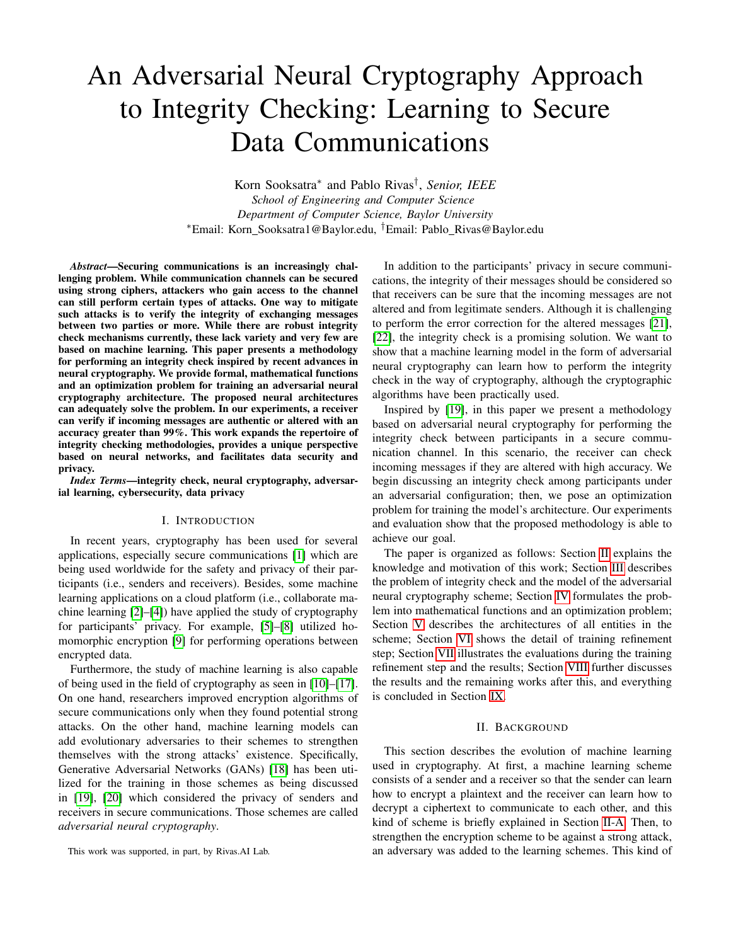# An Adversarial Neural Cryptography Approach to Integrity Checking: Learning to Secure Data Communications

Korn Sooksatra<sup>∗</sup> and Pablo Rivas† , *Senior, IEEE School of Engineering and Computer Science Department of Computer Science, Baylor University* <sup>∗</sup>Email: Korn Sooksatra1@Baylor.edu, †Email: Pablo Rivas@Baylor.edu

*Abstract*—Securing communications is an increasingly challenging problem. While communication channels can be secured using strong ciphers, attackers who gain access to the channel can still perform certain types of attacks. One way to mitigate such attacks is to verify the integrity of exchanging messages between two parties or more. While there are robust integrity check mechanisms currently, these lack variety and very few are based on machine learning. This paper presents a methodology for performing an integrity check inspired by recent advances in neural cryptography. We provide formal, mathematical functions and an optimization problem for training an adversarial neural cryptography architecture. The proposed neural architectures can adequately solve the problem. In our experiments, a receiver can verify if incoming messages are authentic or altered with an accuracy greater than 99%. This work expands the repertoire of integrity checking methodologies, provides a unique perspective based on neural networks, and facilitates data security and privacy.

*Index Terms*—integrity check, neural cryptography, adversarial learning, cybersecurity, data privacy

## I. INTRODUCTION

In recent years, cryptography has been used for several applications, especially secure communications [\[1\]](#page-6-0) which are being used worldwide for the safety and privacy of their participants (i.e., senders and receivers). Besides, some machine learning applications on a cloud platform (i.e., collaborate machine learning [\[2\]](#page-6-1)–[\[4\]](#page-6-2)) have applied the study of cryptography for participants' privacy. For example, [\[5\]](#page-6-3)–[\[8\]](#page-6-4) utilized homomorphic encryption [\[9\]](#page-6-5) for performing operations between encrypted data.

Furthermore, the study of machine learning is also capable of being used in the field of cryptography as seen in [\[10\]](#page-6-6)–[\[17\]](#page-7-0). On one hand, researchers improved encryption algorithms of secure communications only when they found potential strong attacks. On the other hand, machine learning models can add evolutionary adversaries to their schemes to strengthen themselves with the strong attacks' existence. Specifically, Generative Adversarial Networks (GANs) [\[18\]](#page-7-1) has been utilized for the training in those schemes as being discussed in [\[19\]](#page-7-2), [\[20\]](#page-7-3) which considered the privacy of senders and receivers in secure communications. Those schemes are called *adversarial neural cryptography*.

This work was supported, in part, by Rivas.AI Lab.

In addition to the participants' privacy in secure communications, the integrity of their messages should be considered so that receivers can be sure that the incoming messages are not altered and from legitimate senders. Although it is challenging to perform the error correction for the altered messages [\[21\]](#page-7-4), [\[22\]](#page-7-5), the integrity check is a promising solution. We want to show that a machine learning model in the form of adversarial neural cryptography can learn how to perform the integrity check in the way of cryptography, although the cryptographic algorithms have been practically used.

Inspired by [\[19\]](#page-7-2), in this paper we present a methodology based on adversarial neural cryptography for performing the integrity check between participants in a secure communication channel. In this scenario, the receiver can check incoming messages if they are altered with high accuracy. We begin discussing an integrity check among participants under an adversarial configuration; then, we pose an optimization problem for training the model's architecture. Our experiments and evaluation show that the proposed methodology is able to achieve our goal.

The paper is organized as follows: Section [II](#page-0-0) explains the knowledge and motivation of this work; Section [III](#page-1-0) describes the problem of integrity check and the model of the adversarial neural cryptography scheme; Section [IV](#page-2-0) formulates the problem into mathematical functions and an optimization problem; Section [V](#page-2-1) describes the architectures of all entities in the scheme; Section [VI](#page-2-2) shows the detail of training refinement step; Section [VII](#page-3-0) illustrates the evaluations during the training refinement step and the results; Section [VIII](#page-5-0) further discusses the results and the remaining works after this, and everything is concluded in Section [IX.](#page-6-7)

## II. BACKGROUND

<span id="page-0-0"></span>This section describes the evolution of machine learning used in cryptography. At first, a machine learning scheme consists of a sender and a receiver so that the sender can learn how to encrypt a plaintext and the receiver can learn how to decrypt a ciphertext to communicate to each other, and this kind of scheme is briefly explained in Section [II-A.](#page-1-1) Then, to strengthen the encryption scheme to be against a strong attack, an adversary was added to the learning schemes. This kind of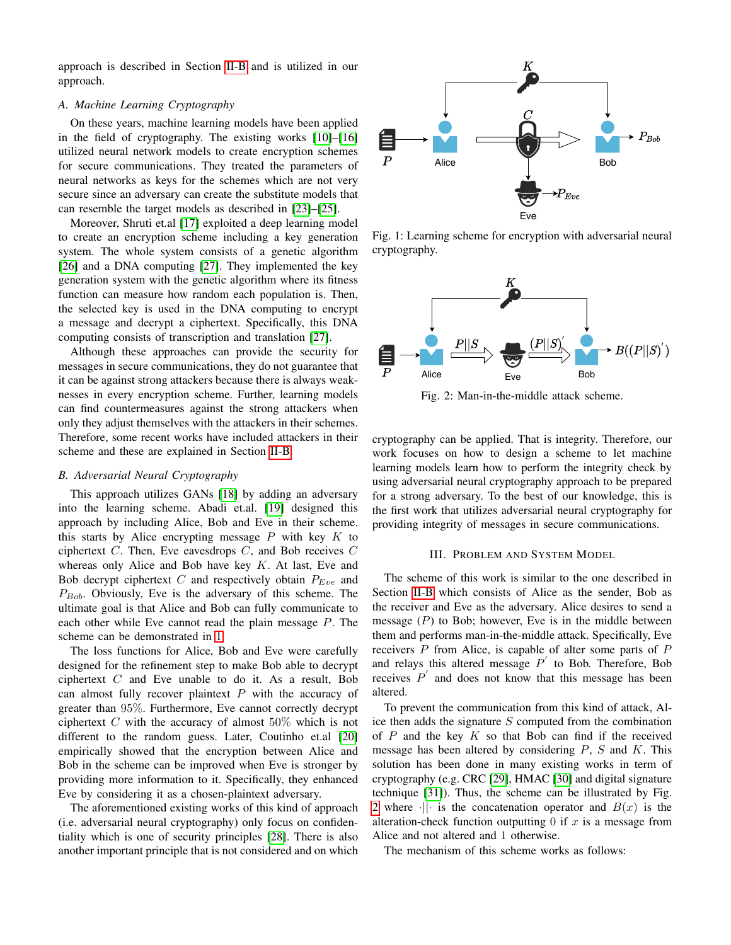approach is described in Section [II-B](#page-1-2) and is utilized in our approach.

# <span id="page-1-1"></span>*A. Machine Learning Cryptography*

On these years, machine learning models have been applied in the field of cryptography. The existing works [\[10\]](#page-6-6)–[\[16\]](#page-7-6) utilized neural network models to create encryption schemes for secure communications. They treated the parameters of neural networks as keys for the schemes which are not very secure since an adversary can create the substitute models that can resemble the target models as described in [\[23\]](#page-7-7)–[\[25\]](#page-7-8).

Moreover, Shruti et.al [\[17\]](#page-7-0) exploited a deep learning model to create an encryption scheme including a key generation system. The whole system consists of a genetic algorithm [\[26\]](#page-7-9) and a DNA computing [\[27\]](#page-7-10). They implemented the key generation system with the genetic algorithm where its fitness function can measure how random each population is. Then, the selected key is used in the DNA computing to encrypt a message and decrypt a ciphertext. Specifically, this DNA computing consists of transcription and translation [\[27\]](#page-7-10).

Although these approaches can provide the security for messages in secure communications, they do not guarantee that it can be against strong attackers because there is always weaknesses in every encryption scheme. Further, learning models can find countermeasures against the strong attackers when only they adjust themselves with the attackers in their schemes. Therefore, some recent works have included attackers in their scheme and these are explained in Section [II-B.](#page-1-2)

# <span id="page-1-2"></span>*B. Adversarial Neural Cryptography*

This approach utilizes GANs [\[18\]](#page-7-1) by adding an adversary into the learning scheme. Abadi et.al. [\[19\]](#page-7-2) designed this approach by including Alice, Bob and Eve in their scheme. this starts by Alice encrypting message  $P$  with key  $K$  to ciphertext  $C$ . Then, Eve eavesdrops  $C$ , and Bob receives  $C$ whereas only Alice and Bob have key  $K$ . At last, Eve and Bob decrypt ciphertext  $C$  and respectively obtain  $P_{Eve}$  and  $P_{Bob}$ . Obviously, Eve is the adversary of this scheme. The ultimate goal is that Alice and Bob can fully communicate to each other while Eve cannot read the plain message P. The scheme can be demonstrated in [1.](#page-1-3)

The loss functions for Alice, Bob and Eve were carefully designed for the refinement step to make Bob able to decrypt ciphertext  $C$  and Eve unable to do it. As a result, Bob can almost fully recover plaintext  $P$  with the accuracy of greater than 95%. Furthermore, Eve cannot correctly decrypt ciphertext  $C$  with the accuracy of almost  $50\%$  which is not different to the random guess. Later, Coutinho et.al [\[20\]](#page-7-3) empirically showed that the encryption between Alice and Bob in the scheme can be improved when Eve is stronger by providing more information to it. Specifically, they enhanced Eve by considering it as a chosen-plaintext adversary.

The aforementioned existing works of this kind of approach (i.e. adversarial neural cryptography) only focus on confidentiality which is one of security principles [\[28\]](#page-7-11). There is also another important principle that is not considered and on which

<span id="page-1-3"></span>

Fig. 1: Learning scheme for encryption with adversarial neural cryptography.

<span id="page-1-4"></span>

Fig. 2: Man-in-the-middle attack scheme.

cryptography can be applied. That is integrity. Therefore, our work focuses on how to design a scheme to let machine learning models learn how to perform the integrity check by using adversarial neural cryptography approach to be prepared for a strong adversary. To the best of our knowledge, this is the first work that utilizes adversarial neural cryptography for providing integrity of messages in secure communications.

## III. PROBLEM AND SYSTEM MODEL

<span id="page-1-0"></span>The scheme of this work is similar to the one described in Section [II-B](#page-1-2) which consists of Alice as the sender, Bob as the receiver and Eve as the adversary. Alice desires to send a message  $(P)$  to Bob; however, Eve is in the middle between them and performs man-in-the-middle attack. Specifically, Eve receivers P from Alice, is capable of alter some parts of P and relays this altered message  $P'$  to Bob. Therefore, Bob receives  $P'$  and does not know that this message has been altered.

To prevent the communication from this kind of attack, Alice then adds the signature  $S$  computed from the combination of  $P$  and the key  $K$  so that Bob can find if the received message has been altered by considering  $P$ ,  $S$  and  $K$ . This solution has been done in many existing works in term of cryptography (e.g. CRC [\[29\]](#page-7-12), HMAC [\[30\]](#page-7-13) and digital signature technique [\[31\]](#page-7-14)). Thus, the scheme can be illustrated by Fig. [2](#page-1-4) where  $\|\cdot\|$  is the concatenation operator and  $B(x)$  is the alteration-check function outputting  $0$  if  $x$  is a message from Alice and not altered and 1 otherwise.

The mechanism of this scheme works as follows: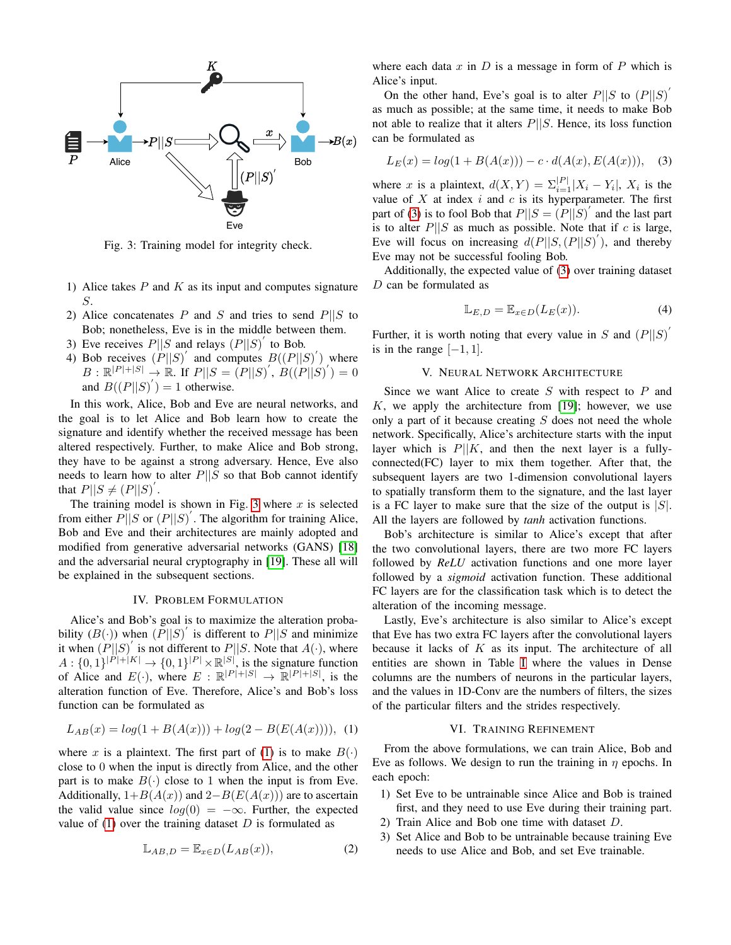<span id="page-2-3"></span>

Fig. 3: Training model for integrity check.

- 1) Alice takes  $P$  and  $K$  as its input and computes signature S.
- 2) Alice concatenates P and S and tries to send  $P||S$  to Bob; nonetheless, Eve is in the middle between them.
- 3) Eve receives  $P||S$  and relays  $(P||S)$ <sup>'</sup> to Bob.
- 4) Bob receives  $(P||S)$  and computes  $B((P||S)')$  where  $B: \mathbb{R}^{|P|+|S|} \to \mathbb{R}$ . If  $P||S = (P||S)'$ ,  $B((P||S)') = 0$ and  $B((P||S)^{'})=1$  otherwise.

In this work, Alice, Bob and Eve are neural networks, and the goal is to let Alice and Bob learn how to create the signature and identify whether the received message has been altered respectively. Further, to make Alice and Bob strong, they have to be against a strong adversary. Hence, Eve also needs to learn how to alter  $P||S$  so that Bob cannot identify that  $P||S \neq (P||S)^{T}$ .

The training model is shown in Fig. [3](#page-2-3) where  $x$  is selected from either  $P||S$  or  $(P||S)'$ . The algorithm for training Alice, Bob and Eve and their architectures are mainly adopted and modified from generative adversarial networks (GANS) [\[18\]](#page-7-1) and the adversarial neural cryptography in [\[19\]](#page-7-2). These all will be explained in the subsequent sections.

#### IV. PROBLEM FORMULATION

<span id="page-2-0"></span>Alice's and Bob's goal is to maximize the alteration probability  $(B(\cdot))$  when  $(\overline{P}||S)'$  is different to  $P||S$  and minimize it when  $(P||S)'$  is not different to  $P||S$ . Note that  $A(\cdot)$ , where  $A: \{0,1\}^{|P|+|K|} \to \{0,1\}^{|P|} \times \mathbb{R}^{|S|}$ , is the signature function of Alice and  $E(\cdot)$ , where  $E: \mathbb{R}^{|P|+|S|} \to \mathbb{R}^{|P|+|S|}$ , is the alteration function of Eve. Therefore, Alice's and Bob's loss function can be formulated as

<span id="page-2-4"></span>
$$
L_{AB}(x) = log(1 + B(A(x))) + log(2 - B(E(A(x))))), (1)
$$

where x is a plaintext. The first part of [\(1\)](#page-2-4) is to make  $B(\cdot)$ close to 0 when the input is directly from Alice, and the other part is to make  $B(\cdot)$  close to 1 when the input is from Eve. Additionally,  $1+B(A(x))$  and  $2-B(E(A(x)))$  are to ascertain the valid value since  $log(0) = -\infty$ . Further, the expected value of  $(1)$  over the training dataset D is formulated as

$$
\mathbb{L}_{AB,D} = \mathbb{E}_{x \in D}(L_{AB}(x)),\tag{2}
$$

where each data  $x$  in  $D$  is a message in form of  $P$  which is Alice's input.

On the other hand, Eve's goal is to alter  $P||S$  to  $(P||S)'$ as much as possible; at the same time, it needs to make Bob not able to realize that it alters  $P||S$ . Hence, its loss function can be formulated as

<span id="page-2-5"></span>
$$
L_E(x) = log(1 + B(A(x))) - c \cdot d(A(x), E(A(x))), \quad (3)
$$

where x is a plaintext,  $d(X,Y) = \sum_{i=1}^{|P|} |X_i - Y_i|$ ,  $X_i$  is the value of  $X$  at index  $i$  and  $c$  is its hyperparameter. The first part of [\(3\)](#page-2-5) is to fool Bob that  $P||S = (P||S)'$  and the last part is to alter  $P||S$  as much as possible. Note that if c is large, Eve will focus on increasing  $d(P||S,(P||S)^{'})$ , and thereby Eve may not be successful fooling Bob.

Additionally, the expected value of [\(3\)](#page-2-5) over training dataset D can be formulated as

$$
\mathbb{L}_{E,D} = \mathbb{E}_{x \in D}(L_E(x)). \tag{4}
$$

Further, it is worth noting that every value in S and  $(P||S)^{T}$ is in the range  $[-1, 1]$ .

## V. NEURAL NETWORK ARCHITECTURE

<span id="page-2-1"></span>Since we want Alice to create  $S$  with respect to  $P$  and  $K$ , we apply the architecture from [\[19\]](#page-7-2); however, we use only a part of it because creating  $S$  does not need the whole network. Specifically, Alice's architecture starts with the input layer which is  $P||K$ , and then the next layer is a fullyconnected(FC) layer to mix them together. After that, the subsequent layers are two 1-dimension convolutional layers to spatially transform them to the signature, and the last layer is a FC layer to make sure that the size of the output is  $|S|$ . All the layers are followed by *tanh* activation functions.

Bob's architecture is similar to Alice's except that after the two convolutional layers, there are two more FC layers followed by *ReLU* activation functions and one more layer followed by a *sigmoid* activation function. These additional FC layers are for the classification task which is to detect the alteration of the incoming message.

Lastly, Eve's architecture is also similar to Alice's except that Eve has two extra FC layers after the convolutional layers because it lacks of  $K$  as its input. The architecture of all entities are shown in Table [I](#page-3-1) where the values in Dense columns are the numbers of neurons in the particular layers, and the values in 1D-Conv are the numbers of filters, the sizes of the particular filters and the strides respectively.

## VI. TRAINING REFINEMENT

<span id="page-2-2"></span>From the above formulations, we can train Alice, Bob and Eve as follows. We design to run the training in  $\eta$  epochs. In each epoch:

- 1) Set Eve to be untrainable since Alice and Bob is trained first, and they need to use Eve during their training part.
- 2) Train Alice and Bob one time with dataset D.
- 3) Set Alice and Bob to be untrainable because training Eve needs to use Alice and Bob, and set Eve trainable.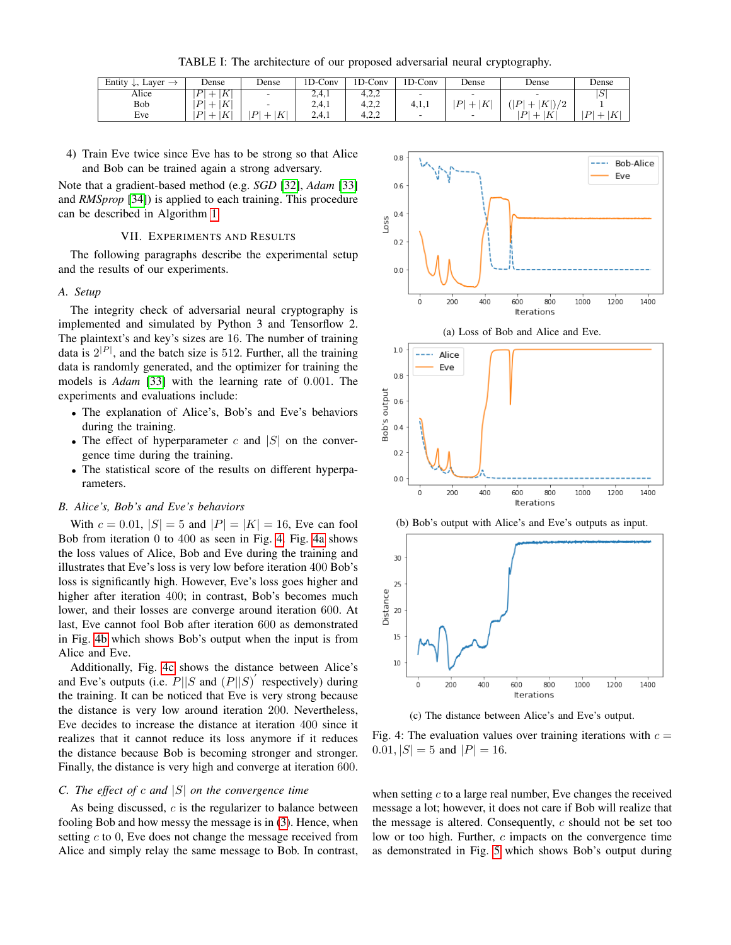TABLE I: The architecture of our proposed adversarial neural cryptography.

<span id="page-3-1"></span>

| Entity<br>Layer<br>$\rightarrow$<br>مراب | Dense                       | Dense                         | <b>ID-Conv</b> | 1D-Conv | 1D-Conv                  | Dense             | Dense                                               | Dense                          |
|------------------------------------------|-----------------------------|-------------------------------|----------------|---------|--------------------------|-------------------|-----------------------------------------------------|--------------------------------|
| Alice                                    | K<br>$\boldsymbol{P}$<br>-- |                               | 2.4.1          |         | $\overline{\phantom{a}}$ |                   |                                                     | Φ                              |
| Bob                                      | $\mathbf{P}$<br> K          |                               | 2.4.1          | 4,2,2   | 4,1,1                    | К<br>$\mathbf{D}$ | $\overline{D}$<br>$K^{\circ}$<br>$\sqrt{2}$<br>I J. |                                |
| Eve                                      | K<br> P                     | $\mathbf{D}$<br>$K^{\dagger}$ | 2.4.1          | 4.2.2   | $\overline{\phantom{a}}$ |                   | $\mathbf{D}$<br>$\overline{K}$<br>--                | $\mathbf{D}$<br>$\overline{K}$ |

4) Train Eve twice since Eve has to be strong so that Alice and Bob can be trained again a strong adversary.

Note that a gradient-based method (e.g. *SGD* [\[32\]](#page-7-15), *Adam* [\[33\]](#page-7-16) and *RMSprop* [\[34\]](#page-7-17)) is applied to each training. This procedure can be described in Algorithm [1.](#page-4-0)

# VII. EXPERIMENTS AND RESULTS

<span id="page-3-0"></span>The following paragraphs describe the experimental setup and the results of our experiments.

#### *A. Setup*

The integrity check of adversarial neural cryptography is implemented and simulated by Python 3 and Tensorflow 2. The plaintext's and key's sizes are 16. The number of training data is  $2^{|P|}$ , and the batch size is 512. Further, all the training data is randomly generated, and the optimizer for training the models is *Adam* [\[33\]](#page-7-16) with the learning rate of 0.001. The experiments and evaluations include:

- The explanation of Alice's, Bob's and Eve's behaviors during the training.
- The effect of hyperparameter c and  $|S|$  on the convergence time during the training.
- The statistical score of the results on different hyperparameters.

## *B. Alice's, Bob's and Eve's behaviors*

With  $c = 0.01$ ,  $|S| = 5$  and  $|P| = |K| = 16$ , Eve can fool Bob from iteration 0 to 400 as seen in Fig. [4.](#page-3-2) Fig. [4a](#page-3-2) shows the loss values of Alice, Bob and Eve during the training and illustrates that Eve's loss is very low before iteration 400 Bob's loss is significantly high. However, Eve's loss goes higher and higher after iteration 400; in contrast, Bob's becomes much lower, and their losses are converge around iteration 600. At last, Eve cannot fool Bob after iteration 600 as demonstrated in Fig. [4b](#page-3-2) which shows Bob's output when the input is from Alice and Eve.

Additionally, Fig. [4c](#page-3-2) shows the distance between Alice's and Eve's outputs (i.e.  $P||S$  and  $(P||S)'$  respectively) during the training. It can be noticed that Eve is very strong because the distance is very low around iteration 200. Nevertheless, Eve decides to increase the distance at iteration 400 since it realizes that it cannot reduce its loss anymore if it reduces the distance because Bob is becoming stronger and stronger. Finally, the distance is very high and converge at iteration 600.

## *C. The effect of* c *and* |S| *on the convergence time*

As being discussed,  $c$  is the regularizer to balance between fooling Bob and how messy the message is in [\(3\)](#page-2-5). Hence, when setting  $c$  to 0, Eve does not change the message received from Alice and simply relay the same message to Bob. In contrast,

<span id="page-3-2"></span>







(c) The distance between Alice's and Eve's output.

Fig. 4: The evaluation values over training iterations with  $c =$  $0.01, |S| = 5$  and  $|P| = 16$ .

when setting  $c$  to a large real number, Eve changes the received message a lot; however, it does not care if Bob will realize that the message is altered. Consequently,  $c$  should not be set too low or too high. Further, c impacts on the convergence time as demonstrated in Fig. [5](#page-5-1) which shows Bob's output during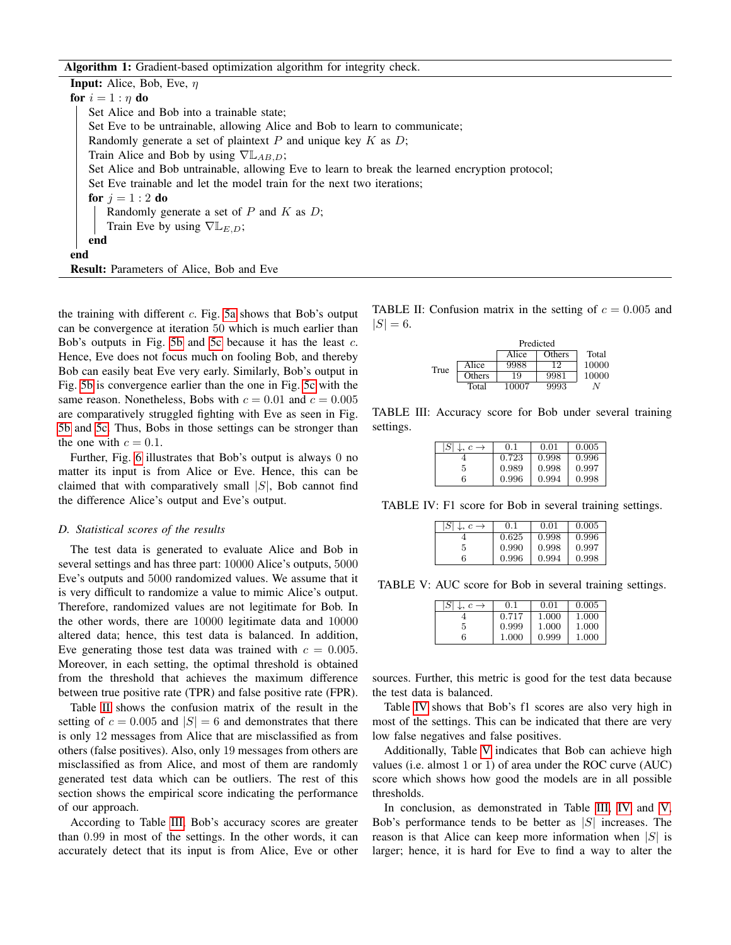Algorithm 1: Gradient-based optimization algorithm for integrity check.

**Input:** Alice, Bob, Eve,  $\eta$ for  $i = 1 : \eta$  do Set Alice and Bob into a trainable state; Set Eve to be untrainable, allowing Alice and Bob to learn to communicate; Randomly generate a set of plaintext  $P$  and unique key  $K$  as  $D$ ; Train Alice and Bob by using  $\nabla L_{AB,D}$ ; Set Alice and Bob untrainable, allowing Eve to learn to break the learned encryption protocol; Set Eve trainable and let the model train for the next two iterations; for  $i = 1:2$  do Randomly generate a set of  $P$  and  $K$  as  $D$ ; Train Eve by using  $\nabla \mathbb{L}_{E,D}$ ; end end Result: Parameters of Alice, Bob and Eve

<span id="page-4-0"></span>the training with different  $c$ . Fig. [5a](#page-5-1) shows that Bob's output can be convergence at iteration 50 which is much earlier than Bob's outputs in Fig. [5b](#page-5-1) and [5c](#page-5-1) because it has the least c. Hence, Eve does not focus much on fooling Bob, and thereby Bob can easily beat Eve very early. Similarly, Bob's output in Fig. [5b](#page-5-1) is convergence earlier than the one in Fig. [5c](#page-5-1) with the same reason. Nonetheless, Bobs with  $c = 0.01$  and  $c = 0.005$ are comparatively struggled fighting with Eve as seen in Fig. [5b](#page-5-1) and [5c.](#page-5-1) Thus, Bobs in those settings can be stronger than the one with  $c = 0.1$ .

Further, Fig. [6](#page-5-2) illustrates that Bob's output is always 0 no matter its input is from Alice or Eve. Hence, this can be claimed that with comparatively small  $|S|$ , Bob cannot find the difference Alice's output and Eve's output.

## *D. Statistical scores of the results*

The test data is generated to evaluate Alice and Bob in several settings and has three part: 10000 Alice's outputs, 5000 Eve's outputs and 5000 randomized values. We assume that it is very difficult to randomize a value to mimic Alice's output. Therefore, randomized values are not legitimate for Bob. In the other words, there are 10000 legitimate data and 10000 altered data; hence, this test data is balanced. In addition, Eve generating those test data was trained with  $c = 0.005$ . Moreover, in each setting, the optimal threshold is obtained from the threshold that achieves the maximum difference between true positive rate (TPR) and false positive rate (FPR).

Table [II](#page-4-1) shows the confusion matrix of the result in the setting of  $c = 0.005$  and  $|S| = 6$  and demonstrates that there is only 12 messages from Alice that are misclassified as from others (false positives). Also, only 19 messages from others are misclassified as from Alice, and most of them are randomly generated test data which can be outliers. The rest of this section shows the empirical score indicating the performance of our approach.

According to Table [III,](#page-4-2) Bob's accuracy scores are greater than 0.99 in most of the settings. In the other words, it can accurately detect that its input is from Alice, Eve or other

<span id="page-4-1"></span>TABLE II: Confusion matrix in the setting of  $c = 0.005$  and  $|S| = 6.$ 

|      |        | Predicted |        |       |
|------|--------|-----------|--------|-------|
|      |        | Alice     | Others | Total |
| True | Alice  | 9988      | 19     | 10000 |
|      | Others | 19        | 9981   | 10000 |
|      | Total  | 10007     | 9993   |       |

<span id="page-4-2"></span>TABLE III: Accuracy score for Bob under several training settings.

| $\downarrow$ , $c \rightarrow$ | 0.1   | 0.01  | 0.005 |
|--------------------------------|-------|-------|-------|
|                                | 0.723 | 0.998 | 0.996 |
| 5                              | 0.989 | 0.998 | 0.997 |
| 6                              | 0.996 | 0.994 | 0.998 |

<span id="page-4-3"></span>TABLE IV: F1 score for Bob in several training settings.

| l SI | 0.1   | 0.01  | 0.005 |
|------|-------|-------|-------|
|      | 0.625 | 0.998 | 0.996 |
| 5.   | 0.990 | 0.998 | 0.997 |
| 6    | 0.996 | 0.994 | 0.998 |

<span id="page-4-4"></span>TABLE V: AUC score for Bob in several training settings.

| ISI<br>$\downarrow, c \rightarrow$ | 0.1   | 0.01  | 0.005 |
|------------------------------------|-------|-------|-------|
|                                    | 0.717 | 1.000 | 1.000 |
| 5                                  | 0.999 | 1.000 | 1.000 |
| 6                                  | 1.000 | 0.999 | 1.000 |

sources. Further, this metric is good for the test data because the test data is balanced.

Table [IV](#page-4-3) shows that Bob's f1 scores are also very high in most of the settings. This can be indicated that there are very low false negatives and false positives.

Additionally, Table [V](#page-4-4) indicates that Bob can achieve high values (i.e. almost 1 or 1) of area under the ROC curve (AUC) score which shows how good the models are in all possible thresholds.

In conclusion, as demonstrated in Table [III,](#page-4-2) [IV](#page-4-3) and [V,](#page-4-4) Bob's performance tends to be better as  $|S|$  increases. The reason is that Alice can keep more information when  $|S|$  is larger; hence, it is hard for Eve to find a way to alter the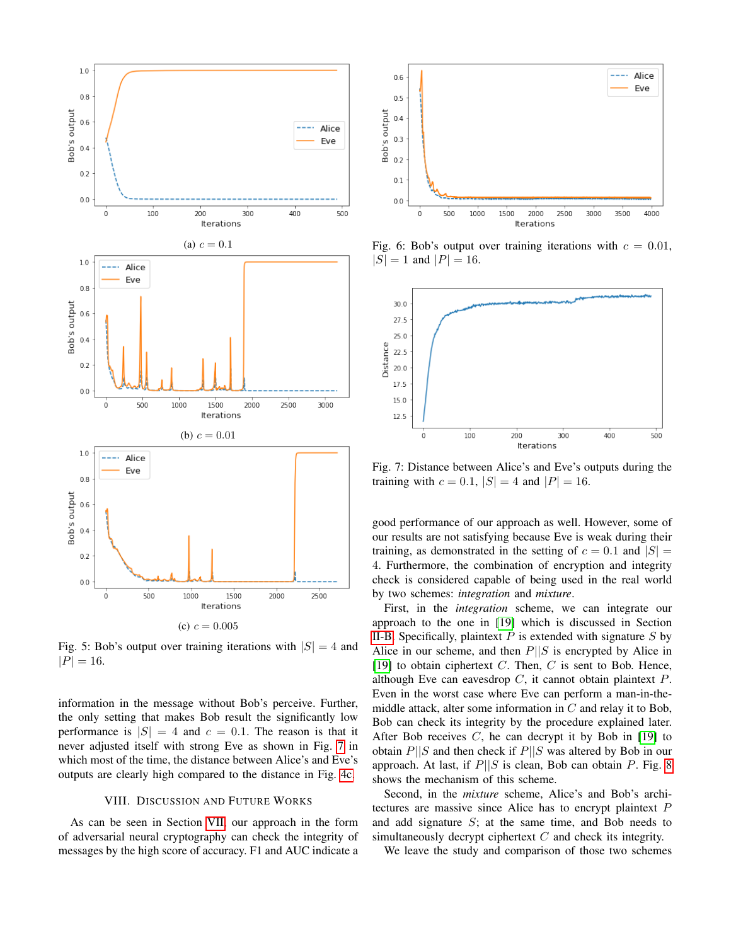<span id="page-5-1"></span>

Fig. 5: Bob's output over training iterations with  $|S| = 4$  and  $|P| = 16.$ 

information in the message without Bob's perceive. Further, the only setting that makes Bob result the significantly low performance is  $|S| = 4$  and  $c = 0.1$ . The reason is that it never adjusted itself with strong Eve as shown in Fig. [7](#page-5-3) in which most of the time, the distance between Alice's and Eve's outputs are clearly high compared to the distance in Fig. [4c.](#page-3-2)

## VIII. DISCUSSION AND FUTURE WORKS

<span id="page-5-0"></span>As can be seen in Section [VII,](#page-3-0) our approach in the form of adversarial neural cryptography can check the integrity of messages by the high score of accuracy. F1 and AUC indicate a

<span id="page-5-2"></span>

Fig. 6: Bob's output over training iterations with  $c = 0.01$ ,  $|S| = 1$  and  $|P| = 16$ .

<span id="page-5-3"></span>

Fig. 7: Distance between Alice's and Eve's outputs during the training with  $c = 0.1$ ,  $|S| = 4$  and  $|P| = 16$ .

good performance of our approach as well. However, some of our results are not satisfying because Eve is weak during their training, as demonstrated in the setting of  $c = 0.1$  and  $|S| =$ 4. Furthermore, the combination of encryption and integrity check is considered capable of being used in the real world by two schemes: *integration* and *mixture*.

First, in the *integration* scheme, we can integrate our approach to the one in [\[19\]](#page-7-2) which is discussed in Section [II-B.](#page-1-2) Specifically, plaintext  $P$  is extended with signature  $S$  by Alice in our scheme, and then  $P||S$  is encrypted by Alice in [\[19\]](#page-7-2) to obtain ciphertext  $C$ . Then,  $C$  is sent to Bob. Hence, although Eve can eavesdrop  $C$ , it cannot obtain plaintext  $P$ . Even in the worst case where Eve can perform a man-in-themiddle attack, alter some information in  $C$  and relay it to Bob, Bob can check its integrity by the procedure explained later. After Bob receives  $C$ , he can decrypt it by Bob in [\[19\]](#page-7-2) to obtain  $P||S$  and then check if  $P||S$  was altered by Bob in our approach. At last, if  $P||S$  is clean, Bob can obtain P. Fig. [8](#page-6-8) shows the mechanism of this scheme.

Second, in the *mixture* scheme, Alice's and Bob's architectures are massive since Alice has to encrypt plaintext P and add signature S; at the same time, and Bob needs to simultaneously decrypt ciphertext C and check its integrity.

We leave the study and comparison of those two schemes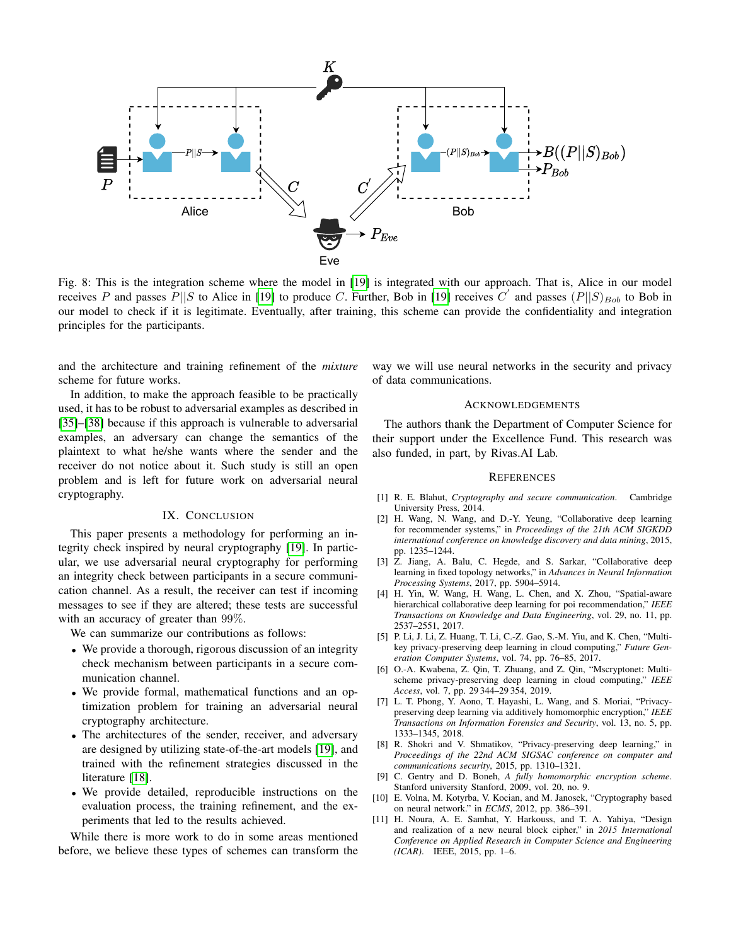<span id="page-6-8"></span>

Fig. 8: This is the integration scheme where the model in [\[19\]](#page-7-2) is integrated with our approach. That is, Alice in our model receives P and passes  $P||S$  to Alice in [\[19\]](#page-7-2) to produce C. Further, Bob in [19] receives  $C'$  and passes  $(P||S)_{Bob}$  to Bob in our model to check if it is legitimate. Eventually, after training, this scheme can provide the confidentiality and integration principles for the participants.

and the architecture and training refinement of the *mixture* scheme for future works.

In addition, to make the approach feasible to be practically used, it has to be robust to adversarial examples as described in [\[35\]](#page-7-18)–[\[38\]](#page-7-19) because if this approach is vulnerable to adversarial examples, an adversary can change the semantics of the plaintext to what he/she wants where the sender and the receiver do not notice about it. Such study is still an open problem and is left for future work on adversarial neural cryptography.

## IX. CONCLUSION

<span id="page-6-7"></span>This paper presents a methodology for performing an integrity check inspired by neural cryptography [\[19\]](#page-7-2). In particular, we use adversarial neural cryptography for performing an integrity check between participants in a secure communication channel. As a result, the receiver can test if incoming messages to see if they are altered; these tests are successful with an accuracy of greater than 99%.

We can summarize our contributions as follows:

- We provide a thorough, rigorous discussion of an integrity check mechanism between participants in a secure communication channel.
- We provide formal, mathematical functions and an optimization problem for training an adversarial neural cryptography architecture.
- The architectures of the sender, receiver, and adversary are designed by utilizing state-of-the-art models [\[19\]](#page-7-2), and trained with the refinement strategies discussed in the literature [\[18\]](#page-7-1).
- We provide detailed, reproducible instructions on the evaluation process, the training refinement, and the experiments that led to the results achieved.

While there is more work to do in some areas mentioned before, we believe these types of schemes can transform the way we will use neural networks in the security and privacy of data communications.

#### ACKNOWLEDGEMENTS

The authors thank the Department of Computer Science for their support under the Excellence Fund. This research was also funded, in part, by Rivas.AI Lab.

#### **REFERENCES**

- <span id="page-6-0"></span>[1] R. E. Blahut, *Cryptography and secure communication*. Cambridge University Press, 2014.
- <span id="page-6-1"></span>[2] H. Wang, N. Wang, and D.-Y. Yeung, "Collaborative deep learning for recommender systems," in *Proceedings of the 21th ACM SIGKDD international conference on knowledge discovery and data mining*, 2015, pp. 1235–1244.
- [3] Z. Jiang, A. Balu, C. Hegde, and S. Sarkar, "Collaborative deep learning in fixed topology networks," in *Advances in Neural Information Processing Systems*, 2017, pp. 5904–5914.
- <span id="page-6-2"></span>[4] H. Yin, W. Wang, H. Wang, L. Chen, and X. Zhou, "Spatial-aware hierarchical collaborative deep learning for poi recommendation," *IEEE Transactions on Knowledge and Data Engineering*, vol. 29, no. 11, pp. 2537–2551, 2017.
- <span id="page-6-3"></span>[5] P. Li, J. Li, Z. Huang, T. Li, C.-Z. Gao, S.-M. Yiu, and K. Chen, "Multikey privacy-preserving deep learning in cloud computing," *Future Generation Computer Systems*, vol. 74, pp. 76–85, 2017.
- [6] O.-A. Kwabena, Z. Qin, T. Zhuang, and Z. Qin, "Mscryptonet: Multischeme privacy-preserving deep learning in cloud computing," *IEEE Access*, vol. 7, pp. 29 344–29 354, 2019.
- [7] L. T. Phong, Y. Aono, T. Hayashi, L. Wang, and S. Moriai, "Privacypreserving deep learning via additively homomorphic encryption," *IEEE Transactions on Information Forensics and Security*, vol. 13, no. 5, pp. 1333–1345, 2018.
- <span id="page-6-4"></span>[8] R. Shokri and V. Shmatikov, "Privacy-preserving deep learning," in *Proceedings of the 22nd ACM SIGSAC conference on computer and communications security*, 2015, pp. 1310–1321.
- <span id="page-6-5"></span>[9] C. Gentry and D. Boneh, *A fully homomorphic encryption scheme*. Stanford university Stanford, 2009, vol. 20, no. 9.
- <span id="page-6-6"></span>[10] E. Volna, M. Kotyrba, V. Kocian, and M. Janosek, "Cryptography based on neural network." in *ECMS*, 2012, pp. 386–391.
- [11] H. Noura, A. E. Samhat, Y. Harkouss, and T. A. Yahiya, "Design and realization of a new neural block cipher," in *2015 International Conference on Applied Research in Computer Science and Engineering (ICAR)*. IEEE, 2015, pp. 1–6.